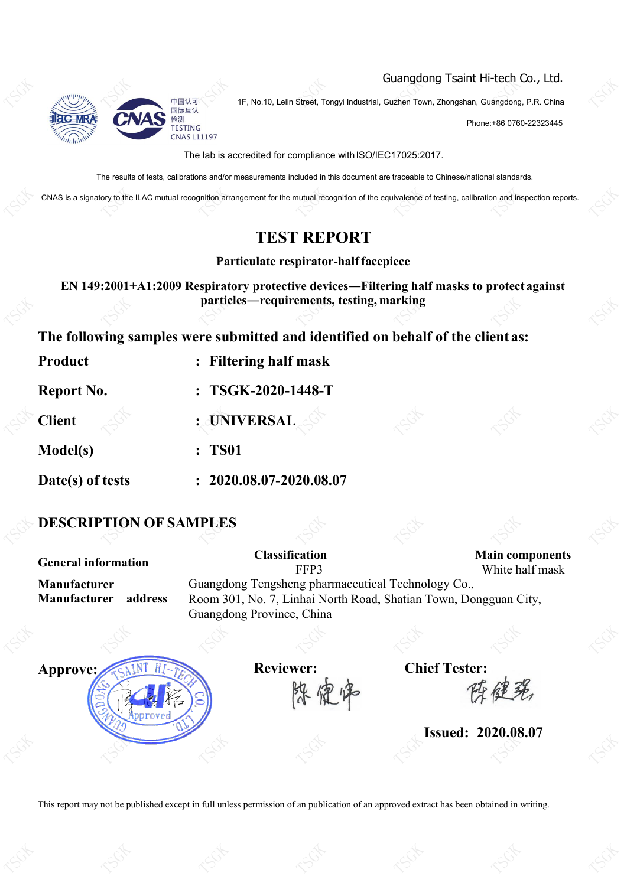

Guangdong Tsaint Hi-tech Co., Ltd.

1F, No.10, Lelin Street, Tongyi Industrial, Guzhen Town, Zhongshan, Guangdong, P.R. China<br>1F, No.10, Lelin Street, Tongyi Industrial, Guzhen Town, Zhongshan, Guangdong, P.R. China

Phone:+86 0760-22323445

The lab is accredited for compliance with ISO/IEC17025:2017.

The results of tests, calibrations and/or measurements included in this document are traceable to Chinese/national standards.

CNAS is a signatory to the ILAC mutual recognition arrangement for the mutual recognition of the equivalence of testing, calibration and inspection reports.

### **TEST REPORT**

**Particulate respirator-halffacepiece**

**EN 149:2001+A1:2009 Respiratory protective devices―Filtering half masks to protect against particles—requirements, testing, marking** 

**The following samples were submitted and identified on behalfof the clientas:**

| Product           | : Filtering half mask       |  |
|-------------------|-----------------------------|--|
| <b>Report No.</b> | $: TSGK-2020-1448-T$        |  |
| <b>Client</b>     | : UNIVERSAL                 |  |
| <b>Model(s)</b>   | : TS01                      |  |
| Date(s) of tests  | $: 2020.08.07 - 2020.08.07$ |  |

## **DESCRIPTION OF SAMPLES**

**General information Classification Main components** FFP3 White half mask **Manufacturer** Guangdong Tengsheng pharmaceutical Technology Co., Manufacturer address Room 301, No. 7, Linhai North Road, Shatian Town, Dongguan City, Guangdong Province, China **Approve: Reviewer: Chief Tester:** 深定师 **Issued: 2020.08.07** TSGK **TSGK**  $\mathbb{S}^{\mathbb{C}}$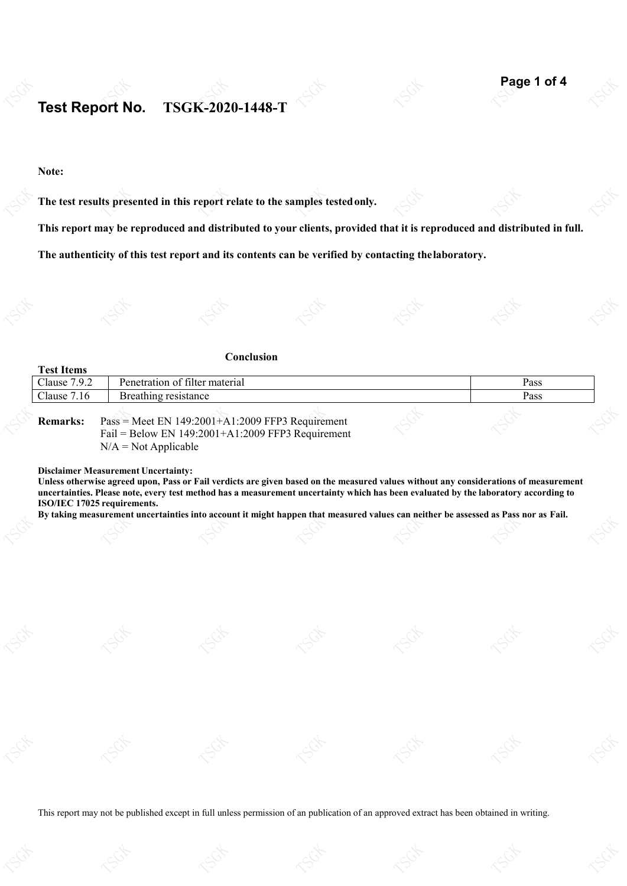### **Test Report No. TSGK-2020-1448-T** Test Report No.

#### **Note:**

**The test results presented in this report relate to the samples testedonly.** Its presented in this report relate to the samples t

This report may be reproduced and distributed to your clients, provided that it is reproduced and distributed in full.

**The authenticity of this test report and its contents can be verified by contacting thelaboratory.**

|                   | Conclusion                                                                                             |      |  |
|-------------------|--------------------------------------------------------------------------------------------------------|------|--|
| <b>Test Items</b> |                                                                                                        |      |  |
| Clause 7.9.2      | Penetration of filter material                                                                         | Pass |  |
| Clause 7.16       | Breathing resistance                                                                                   | Pass |  |
| <b>Remarks:</b>   | $Pass = Meet EN 149:2001+A1:2009 FFP3 Required$<br>Fail = Below EN $149:2001+A1:2009$ FFP3 Requirement |      |  |

 $N/A = Not Applicable$ 

**Disclaimer Measurement Uncertainty:**

Unless otherwise agreed upon, Pass or Fail verdicts are given based on the measured values without any considerations of measurement uncertainties. Please note, every test method has a measurement uncertainty which has been evaluated by the laboratory according to ISO/IEC 17025 requirements. ISO/IEC 17025 requirements.<br>By taking measurement uncertainties into account it might happen that measured values can neither be assessed as Pass nor as Fail.

TSGK TSGK TSGK TSGK TSGK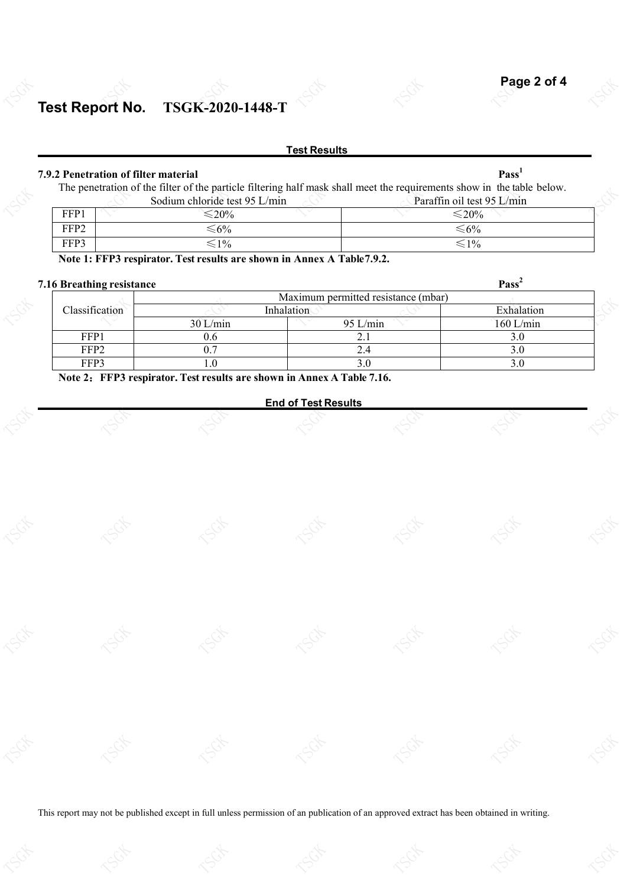**2**

### **Test Report No. TSGK-2020-1448-T** Test Report No.

#### **Test Results**

### **7.9.2 Penetration of filter material Pass**

**1**

TSGK

|                  | The penetration of the filter of the particle filtering half mask shall meet the requirements show in the table below. |                            |  |
|------------------|------------------------------------------------------------------------------------------------------------------------|----------------------------|--|
|                  | Sodium chloride test 95 L/min                                                                                          | Paraffin oil test 95 L/min |  |
| FFP1             | $\leq 20\%$                                                                                                            | $\leq 20\%$                |  |
| FFP <sub>2</sub> | ≤6%                                                                                                                    | $\leq 6\%$                 |  |
| FFP3             | $\leq 1\%$                                                                                                             | $\leq 1\%$                 |  |

**Note 1: FFP3 respirator.Test results are shown in Annex A Table7.9.2.**

### **7.16 Breathing resistance Pass**

TSGK

| $\sim$ Decaming resistance |            |                                     | .           |  |
|----------------------------|------------|-------------------------------------|-------------|--|
|                            |            | Maximum permitted resistance (mbar) |             |  |
| Classification             |            | Inhalation                          | Exhalation  |  |
|                            | $30$ L/min | $95$ L/min                          | $160$ L/min |  |
| FFP1                       | U.O        | ∠.                                  |             |  |
| FFP2                       |            |                                     |             |  |
| FFP3                       |            |                                     |             |  |

TSGK

**Note 2**:**FFP3 respirator. Test results are shown in Annex A Table 7.16.**

TSGK

### **End of Test Results** TSGK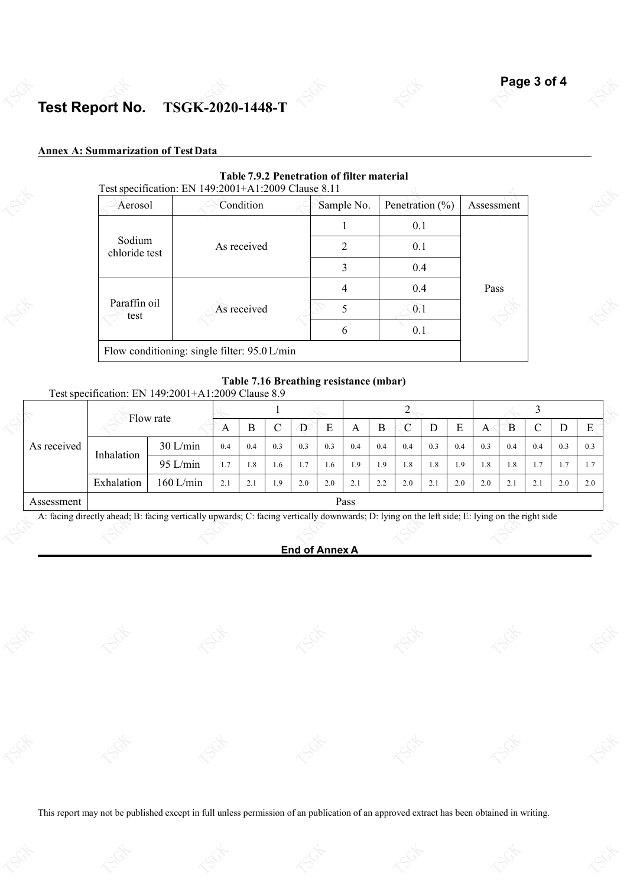### **Test Report No. TSGK-2020-1448-T** Test Report No.

#### **Annex A: Summarization of TestData**

|                         | Test specification: EN 149:2001+A1:2009 Clause 8.11 |            |                     |            |
|-------------------------|-----------------------------------------------------|------------|---------------------|------------|
| Aerosol                 | Condition                                           | Sample No. | Penetration $(\% )$ | Assessment |
|                         |                                                     |            | 0.1                 |            |
| Sodium<br>chloride test | As received                                         | 2          | 0.1                 |            |
|                         |                                                     | 3          | 0.4                 |            |
|                         |                                                     |            | 0.4                 | Pass       |
| Paraffin oil<br>test    | As received                                         | 0.1        |                     | 170        |
|                         |                                                     | 6          | 0.1                 |            |
|                         | Flow conditioning: single filter: 95.0 L/min        |            |                     |            |

#### **Table 7.9.2 Penetration of filter material**

#### **Table 7.16 Breathing resistance (mbar)**

Testspecification: EN 149:2001+A1:2009 Clause 8.9

| Flow rate   |            |            |                          |                             |     |     |     |              |     |     |                       |     |              |     |                     |     |                     |
|-------------|------------|------------|--------------------------|-----------------------------|-----|-----|-----|--------------|-----|-----|-----------------------|-----|--------------|-----|---------------------|-----|---------------------|
|             |            |            | A                        | Б                           | ◡   | D   | E   | $\mathbf{A}$ | В   | C   |                       | ∸   | $\mathbf{A}$ | В   | ◡                   | D   | $\blacksquare$<br>Е |
| As received | Inhalation | $30$ L/min | 0.4                      | 0.4                         | 0.3 | 0.3 | 0.3 | 0.4          | 0.4 | 0.4 | 0.3                   | 0.4 | 0.3          | 0.4 | 0.4                 | 0.3 | 0.3                 |
|             |            | $95$ L/min | 1.1                      | 1.8                         | 1.6 | 1.7 | 1.6 | 1.9          | 9،  | 1.8 | 1.8                   | 1.9 | 1.8          | 1.8 | $\mathbf{r}$<br>1.1 | п,  | 1.7                 |
|             | Exhalation | 160 L/min  | $\gamma$ :<br>$\angle 1$ | $\sim$<br>$\mathcal{L}$ . 1 | 1.9 | 2.0 | 2.0 | 2.           | 2.2 | 2.0 | $\sim$<br>$\angle$ .1 | 2.0 | 2.0          | 2.1 | 2.1                 | 2.0 | 2.0                 |
| Assessment  |            |            |                          |                             |     |     |     | Pass         |     |     |                       |     |              |     |                     |     |                     |

A: facing directly ahead; B: facing vertically upwards; C: facing vertically downwards; D: lying on the left side; E: lying on the right side TSGK of the right side TSGK of the right side TSGK of the right side TSGK of the

#### **End of Annex A**